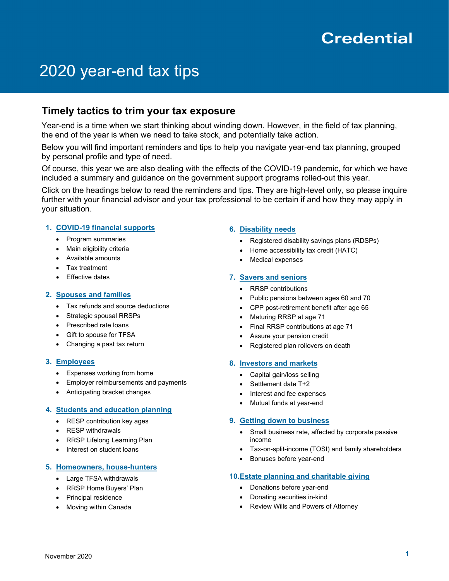# **Credential**

# 2020 year-end tax tips

# **Timely tactics to trim your tax exposure**

Year-end is a time when we start thinking about winding down. However, in the field of tax planning, the end of the year is when we need to take stock, and potentially take action.

Below you will find important reminders and tips to help you navigate year-end tax planning, grouped by personal profile and type of need.

Of course, this year we are also dealing with the effects of the COVID-19 pandemic, for which we have included a summary and guidance on the government support programs rolled-out this year.

Click on the headings below to read the reminders and tips. They are high-level only, so please inquire further with your financial advisor and your tax professional to be certain if and how they may apply in your situation.

# **1. [COVID-19 financial supports](#page-1-0)**

- Program summaries
- Main eligibility criteria
- Available amounts
- Tax treatment
- Effective dates

#### **2. [Spouses and families](#page-2-0)**

- Tax refunds and source deductions
- Strategic spousal RRSPs
- Prescribed rate loans
- Gift to spouse for TFSA
- Changing a past tax return

#### **3. [Employees](#page-3-0)**

- Expenses working from home
- Employer reimbursements and payments
- Anticipating bracket changes

# **4. [Students and education planning](#page-3-1)**

- RESP contribution key ages
- RESP withdrawals
- RRSP Lifelong Learning Plan
- Interest on student loans

#### **5. [Homeowners, house-hunters](#page-4-0)**

- Large TFSA withdrawals
- RRSP Home Buyers' Plan
- Principal residence
- Moving within Canada

## **6. [Disability needs](#page-5-0)**

- Registered disability savings plans (RDSPs)
- Home accessibility tax credit (HATC)
- Medical expenses

#### **7. [Savers and seniors](#page-6-0)**

- RRSP contributions
- Public pensions between ages 60 and 70
- CPP post-retirement benefit after age 65
- Maturing RRSP at age 71
- Final RRSP contributions at age 71
- Assure your pension credit
- Registered plan rollovers on death

#### **8. [Investors and markets](#page-7-0)**

- Capital gain/loss selling
- Settlement date T+2
- Interest and fee expenses
- Mutual funds at year-end

#### **9. [Getting down to business](#page-8-0)**

- Small business rate, affected by corporate passive income
- Tax-on-split-income (TOSI) and family shareholders
- Bonuses before year-end

#### **10[.Estate planning and charitable giving](#page-9-0)**

- Donations before year-end
- Donating securities in-kind
- Review Wills and Powers of Attorney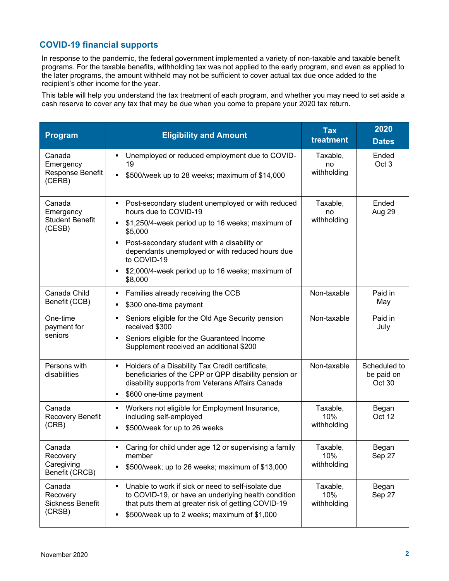# <span id="page-1-0"></span>**COVID-19 financial supports**

In response to the pandemic, the federal government implemented a variety of non-taxable and taxable benefit programs. For the taxable benefits, withholding tax was not applied to the early program, and even as applied to the later programs, the amount withheld may not be sufficient to cover actual tax due once added to the recipient's other income for the year.

This table will help you understand the tax treatment of each program, and whether you may need to set aside a cash reserve to cover any tax that may be due when you come to prepare your 2020 tax return.

| Program                                                 | <b>Eligibility and Amount</b>                                                                                                                                                                                                                                                                                                       | <b>Tax</b><br>treatment        | 2020<br><b>Dates</b>                 |
|---------------------------------------------------------|-------------------------------------------------------------------------------------------------------------------------------------------------------------------------------------------------------------------------------------------------------------------------------------------------------------------------------------|--------------------------------|--------------------------------------|
| Canada<br>Emergency<br>Response Benefit<br>(CERB)       | Unemployed or reduced employment due to COVID-<br>19<br>\$500/week up to 28 weeks; maximum of \$14,000<br>$\blacksquare$                                                                                                                                                                                                            | Taxable,<br>no<br>withholding  | Ended<br>Oct 3                       |
| Canada<br>Emergency<br><b>Student Benefit</b><br>(CESB) | Post-secondary student unemployed or with reduced<br>٠<br>hours due to COVID-19<br>\$1,250/4-week period up to 16 weeks; maximum of<br>\$5,000<br>Post-secondary student with a disability or<br>٠<br>dependants unemployed or with reduced hours due<br>to COVID-19<br>\$2,000/4-week period up to 16 weeks; maximum of<br>\$8,000 | Taxable,<br>no<br>withholding  | Ended<br>Aug 29                      |
| Canada Child<br>Benefit (CCB)                           | Families already receiving the CCB<br>Е<br>\$300 one-time payment<br>٠                                                                                                                                                                                                                                                              | Non-taxable                    | Paid in<br>May                       |
| One-time<br>payment for<br>seniors                      | Seniors eligible for the Old Age Security pension<br>٠<br>received \$300<br>Seniors eligible for the Guaranteed Income<br>П<br>Supplement received an additional \$200                                                                                                                                                              | Non-taxable                    | Paid in<br>July                      |
| Persons with<br>disabilities                            | Holders of a Disability Tax Credit certificate,<br>٠<br>beneficiaries of the CPP or QPP disability pension or<br>disability supports from Veterans Affairs Canada<br>\$600 one-time payment<br>п                                                                                                                                    | Non-taxable                    | Scheduled to<br>be paid on<br>Oct 30 |
| Canada<br>Recovery Benefit<br>(CRB)                     | Workers not eligible for Employment Insurance,<br>٠<br>including self-employed<br>\$500/week for up to 26 weeks<br>П                                                                                                                                                                                                                | Taxable,<br>10%<br>withholding | Began<br>Oct 12                      |
| Canada<br>Recovery<br>Caregiving<br>Benefit (CRCB)      | Caring for child under age 12 or supervising a family<br>member<br>\$500/week; up to 26 weeks; maximum of \$13,000<br>п                                                                                                                                                                                                             | Taxable,<br>10%<br>withholding | Began<br>Sep 27                      |
| Canada<br>Recovery<br>Sickness Benefit<br>(CRSB)        | Unable to work if sick or need to self-isolate due<br>П<br>to COVID-19, or have an underlying health condition<br>that puts them at greater risk of getting COVID-19<br>\$500/week up to 2 weeks; maximum of \$1,000<br>п                                                                                                           | Taxable,<br>10%<br>withholding | Began<br>Sep 27                      |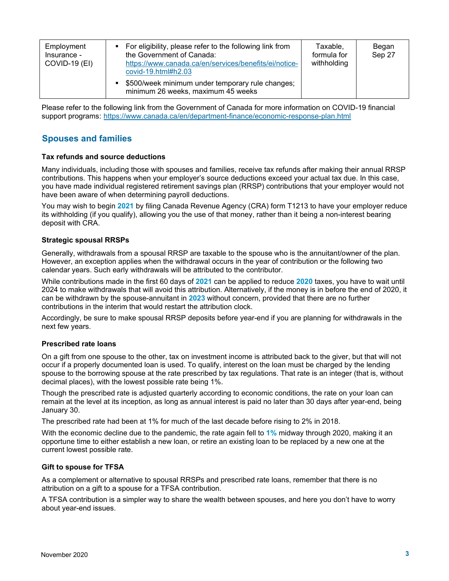| Employment<br>Insurance -<br><b>COVID-19 (EI)</b> | • For eligibility, please refer to the following link from<br>the Government of Canada:<br>https://www.canada.ca/en/services/benefits/ei/notice-<br>covid-19.html#h2.03<br>\$500/week minimum under temporary rule changes;<br>minimum 26 weeks, maximum 45 weeks | Taxable,<br>formula for<br>withholding | Began<br>Sep 27 |
|---------------------------------------------------|-------------------------------------------------------------------------------------------------------------------------------------------------------------------------------------------------------------------------------------------------------------------|----------------------------------------|-----------------|
|---------------------------------------------------|-------------------------------------------------------------------------------------------------------------------------------------------------------------------------------------------------------------------------------------------------------------------|----------------------------------------|-----------------|

Please refer to the following link from the Government of Canada for more information on COVID-19 financial support programs: <https://www.canada.ca/en/department-finance/economic-response-plan.html>

# <span id="page-2-0"></span>**Spouses and families**

#### **Tax refunds and source deductions**

Many individuals, including those with spouses and families, receive tax refunds after making their annual RRSP contributions. This happens when your employer's source deductions exceed your actual tax due. In this case, you have made individual registered retirement savings plan (RRSP) contributions that your employer would not have been aware of when determining payroll deductions.

You may wish to begin **2021** by filing Canada Revenue Agency (CRA) form T1213 to have your employer reduce its withholding (if you qualify), allowing you the use of that money, rather than it being a non-interest bearing deposit with CRA.

## **Strategic spousal RRSPs**

Generally, withdrawals from a spousal RRSP are taxable to the spouse who is the annuitant/owner of the plan. However, an exception applies when the withdrawal occurs in the year of contribution or the following two calendar years. Such early withdrawals will be attributed to the contributor.

While contributions made in the first 60 days of **2021** can be applied to reduce **2020** taxes, you have to wait until 2024 to make withdrawals that will avoid this attribution. Alternatively, if the money is in before the end of 2020, it can be withdrawn by the spouse-annuitant in **2023** without concern, provided that there are no further contributions in the interim that would restart the attribution clock.

Accordingly, be sure to make spousal RRSP deposits before year-end if you are planning for withdrawals in the next few years.

#### **Prescribed rate loans**

On a gift from one spouse to the other, tax on investment income is attributed back to the giver, but that will not occur if a properly documented loan is used. To qualify, interest on the loan must be charged by the lending spouse to the borrowing spouse at the rate prescribed by tax regulations. That rate is an integer (that is, without decimal places), with the lowest possible rate being 1%.

Though the prescribed rate is adjusted quarterly according to economic conditions, the rate on your loan can remain at the level at its inception, as long as annual interest is paid no later than 30 days after year-end, being January 30.

The prescribed rate had been at 1% for much of the last decade before rising to 2% in 2018.

With the economic decline due to the pandemic, the rate again fell to **1%** midway through 2020, making it an opportune time to either establish a new loan, or retire an existing loan to be replaced by a new one at the current lowest possible rate.

#### **Gift to spouse for TFSA**

As a complement or alternative to spousal RRSPs and prescribed rate loans, remember that there is no attribution on a gift to a spouse for a TFSA contribution.

A TFSA contribution is a simpler way to share the wealth between spouses, and here you don't have to worry about year-end issues.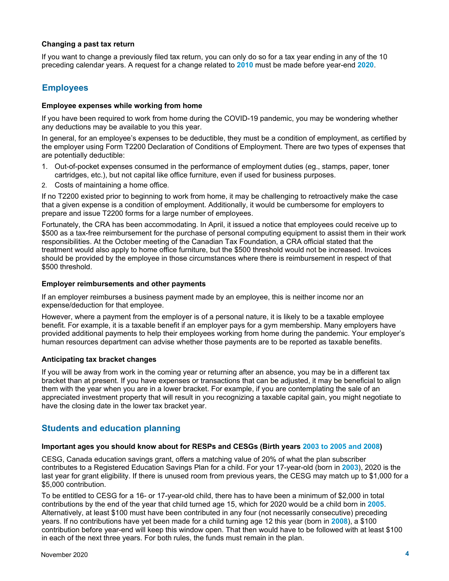## **Changing a past tax return**

If you want to change a previously filed tax return, you can only do so for a tax year ending in any of the 10 preceding calendar years. A request for a change related to **2010** must be made before year-end **2020**.

# <span id="page-3-0"></span>**Employees**

## **Employee expenses while working from home**

If you have been required to work from home during the COVID-19 pandemic, you may be wondering whether any deductions may be available to you this year.

In general, for an employee's expenses to be deductible, they must be a condition of employment, as certified by the employer using Form T2200 Declaration of Conditions of Employment. There are two types of expenses that are potentially deductible:

- 1. Out-of-pocket expenses consumed in the performance of employment duties (eg., stamps, paper, toner cartridges, etc.), but not capital like office furniture, even if used for business purposes.
- 2. Costs of maintaining a home office.

If no T2200 existed prior to beginning to work from home, it may be challenging to retroactively make the case that a given expense is a condition of employment. Additionally, it would be cumbersome for employers to prepare and issue T2200 forms for a large number of employees.

Fortunately, the CRA has been accommodating. In April, it issued a notice that employees could receive up to \$500 as a tax-free reimbursement for the purchase of personal computing equipment to assist them in their work responsibilities. At the October meeting of the Canadian Tax Foundation, a CRA official stated that the treatment would also apply to home office furniture, but the \$500 threshold would not be increased. Invoices should be provided by the employee in those circumstances where there is reimbursement in respect of that \$500 threshold.

## **Employer reimbursements and other payments**

If an employer reimburses a business payment made by an employee, this is neither income nor an expense/deduction for that employee.

However, where a payment from the employer is of a personal nature, it is likely to be a taxable employee benefit. For example, it is a taxable benefit if an employer pays for a gym membership. Many employers have provided additional payments to help their employees working from home during the pandemic. Your employer's human resources department can advise whether those payments are to be reported as taxable benefits.

# **Anticipating tax bracket changes**

If you will be away from work in the coming year or returning after an absence, you may be in a different tax bracket than at present. If you have expenses or transactions that can be adjusted, it may be beneficial to align them with the year when you are in a lower bracket. For example, if you are contemplating the sale of an appreciated investment property that will result in you recognizing a taxable capital gain, you might negotiate to have the closing date in the lower tax bracket year.

# <span id="page-3-1"></span>**Students and education planning**

#### **Important ages you should know about for RESPs and CESGs (Birth years 2003 to 2005 and 2008)**

CESG, Canada education savings grant, offers a matching value of 20% of what the plan subscriber contributes to a Registered Education Savings Plan for a child. For your 17-year-old (born in **2003**), 2020 is the last year for grant eligibility. If there is unused room from previous years, the CESG may match up to \$1,000 for a \$5,000 contribution.

To be entitled to CESG for a 16- or 17-year-old child, there has to have been a minimum of \$2,000 in total contributions by the end of the year that child turned age 15, which for 2020 would be a child born in **2005**. Alternatively, at least \$100 must have been contributed in any four (not necessarily consecutive) preceding years. If no contributions have yet been made for a child turning age 12 this year (born in **2008**), a \$100 contribution before year-end will keep this window open. That then would have to be followed with at least \$100 in each of the next three years. For both rules, the funds must remain in the plan.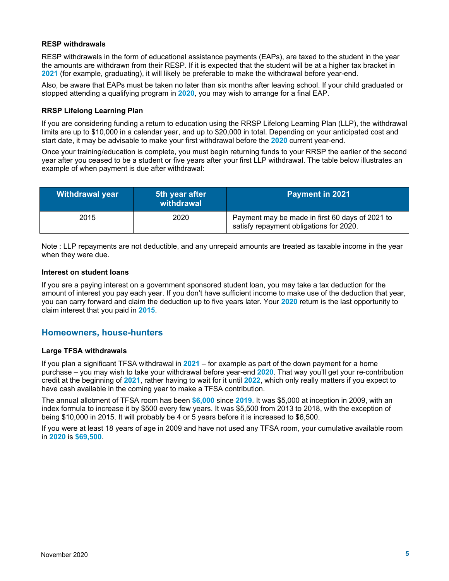# **RESP withdrawals**

RESP withdrawals in the form of educational assistance payments (EAPs), are taxed to the student in the year the amounts are withdrawn from their RESP. If it is expected that the student will be at a higher tax bracket in **2021** (for example, graduating), it will likely be preferable to make the withdrawal before year-end.

Also, be aware that EAPs must be taken no later than six months after leaving school. If your child graduated or stopped attending a qualifying program in **2020**, you may wish to arrange for a final EAP.

## **RRSP Lifelong Learning Plan**

If you are considering funding a return to education using the RRSP Lifelong Learning Plan (LLP), the withdrawal limits are up to \$10,000 in a calendar year, and up to \$20,000 in total. Depending on your anticipated cost and start date, it may be advisable to make your first withdrawal before the **2020** current year-end.

Once your training/education is complete, you must begin returning funds to your RRSP the earlier of the second year after you ceased to be a student or five years after your first LLP withdrawal. The table below illustrates an example of when payment is due after withdrawal:

| <b>Withdrawal year</b> | 5th year after<br>withdrawal | <b>Payment in 2021</b>                                                                     |
|------------------------|------------------------------|--------------------------------------------------------------------------------------------|
| 2015                   | 2020                         | Payment may be made in first 60 days of 2021 to<br>satisfy repayment obligations for 2020. |

Note : LLP repayments are not deductible, and any unrepaid amounts are treated as taxable income in the year when they were due.

#### **Interest on student loans**

If you are a paying interest on a government sponsored student loan, you may take a tax deduction for the amount of interest you pay each year. If you don't have sufficient income to make use of the deduction that year, you can carry forward and claim the deduction up to five years later. Your **2020** return is the last opportunity to claim interest that you paid in **2015**.

# <span id="page-4-0"></span>**Homeowners, house-hunters**

#### **Large TFSA withdrawals**

If you plan a significant TFSA withdrawal in **2021** – for example as part of the down payment for a home purchase – you may wish to take your withdrawal before year-end **2020**. That way you'll get your re-contribution credit at the beginning of **2021**, rather having to wait for it until **2022**, which only really matters if you expect to have cash available in the coming year to make a TFSA contribution.

The annual allotment of TFSA room has been **\$6,000** since **2019**. It was \$5,000 at inception in 2009, with an index formula to increase it by \$500 every few years. It was \$5,500 from 2013 to 2018, with the exception of being \$10,000 in 2015. It will probably be 4 or 5 years before it is increased to \$6,500.

If you were at least 18 years of age in 2009 and have not used any TFSA room, your cumulative available room in **2020** is **\$69,500**.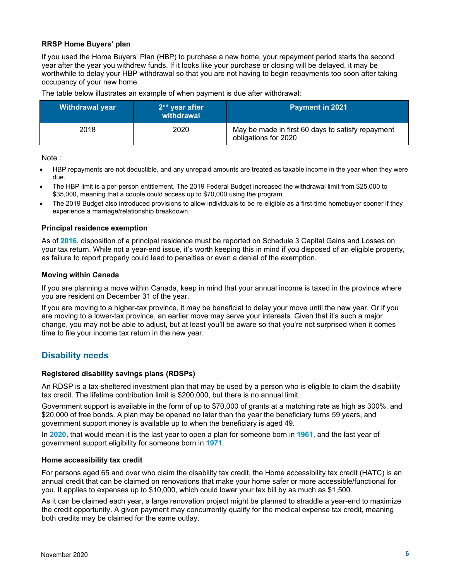# **RRSP Home Buyers' plan**

If you used the Home Buyers' Plan (HBP) to purchase a new home, your repayment period starts the second year after the year you withdrew funds. If it looks like your purchase or closing will be delayed, it may be worthwhile to delay your HBP withdrawal so that you are not having to begin repayments too soon after taking occupancy of your new home.

The table below illustrates an example of when payment is due after withdrawal:

| Withdrawal year | $2nd$ year after<br>withdrawal | <b>Payment in 2021</b>                                                    |
|-----------------|--------------------------------|---------------------------------------------------------------------------|
| 2018            | 2020                           | May be made in first 60 days to satisfy repayment<br>obligations for 2020 |

Note :

- HBP repayments are not deductible, and any unrepaid amounts are treated as taxable income in the year when they were due.
- The HBP limit is a per-person entitlement. The 2019 Federal Budget increased the withdrawal limit from \$25,000 to \$35,000, meaning that a couple could access up to \$70,000 using the program.
- The 2019 Budget also introduced provisions to allow individuals to be re-eligible as a first-time homebuyer sooner if they experience a marriage/relationship breakdown.

#### **Principal residence exemption**

As of **2016**, disposition of a principal residence must be reported on Schedule 3 Capital Gains and Losses on your tax return. While not a year-end issue, it's worth keeping this in mind if you disposed of an eligible property, as failure to report properly could lead to penalties or even a denial of the exemption.

#### **Moving within Canada**

If you are planning a move within Canada, keep in mind that your annual income is taxed in the province where you are resident on December 31 of the year.

If you are moving to a higher-tax province, it may be beneficial to delay your move until the new year. Or if you are moving to a lower-tax province, an earlier move may serve your interests. Given that it's such a major change, you may not be able to adjust, but at least you'll be aware so that you're not surprised when it comes time to file your income tax return in the new year.

# <span id="page-5-0"></span>**Disability needs**

#### **Registered disability savings plans (RDSPs)**

An RDSP is a tax-sheltered investment plan that may be used by a person who is eligible to claim the disability tax credit. The lifetime contribution limit is \$200,000, but there is no annual limit.

Government support is available in the form of up to \$70,000 of grants at a matching rate as high as 300%, and \$20,000 of free bonds. A plan may be opened no later than the year the beneficiary turns 59 years, and government support money is available up to when the beneficiary is aged 49.

In **2020**, that would mean it is the last year to open a plan for someone born in **1961**, and the last year of government support eligibility for someone born in **1971**.

#### **Home accessibility tax credit**

For persons aged 65 and over who claim the disability tax credit, the Home accessibility tax credit (HATC) is an annual credit that can be claimed on renovations that make your home safer or more accessible/functional for you. It applies to expenses up to \$10,000, which could lower your tax bill by as much as \$1,500.

As it can be claimed each year, a large renovation project might be planned to straddle a year-end to maximize the credit opportunity. A given payment may concurrently qualify for the medical expense tax credit, meaning both credits may be claimed for the same outlay.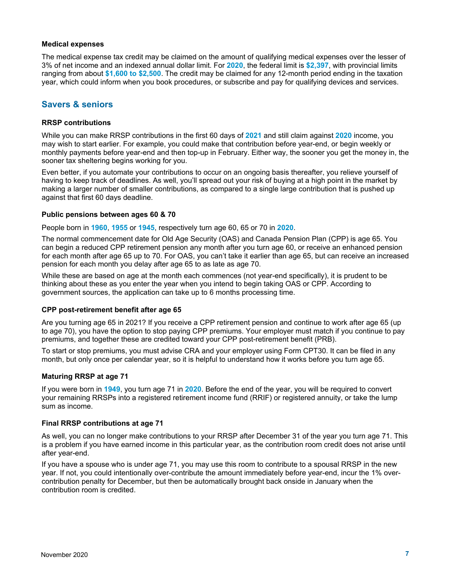#### **Medical expenses**

The medical expense tax credit may be claimed on the amount of qualifying medical expenses over the lesser of 3% of net income and an indexed annual dollar limit. For **2020**, the federal limit is **\$2,397**, with provincial limits ranging from about **\$1,600 to \$2,500**. The credit may be claimed for any 12-month period ending in the taxation year, which could inform when you book procedures, or subscribe and pay for qualifying devices and services.

# <span id="page-6-0"></span>**Savers & seniors**

# **RRSP contributions**

While you can make RRSP contributions in the first 60 days of **2021** and still claim against **2020** income, you may wish to start earlier. For example, you could make that contribution before year-end, or begin weekly or monthly payments before year-end and then top-up in February. Either way, the sooner you get the money in, the sooner tax sheltering begins working for you.

Even better, if you automate your contributions to occur on an ongoing basis thereafter, you relieve yourself of having to keep track of deadlines. As well, you'll spread out your risk of buying at a high point in the market by making a larger number of smaller contributions, as compared to a single large contribution that is pushed up against that first 60 days deadline.

## **Public pensions between ages 60 & 70**

People born in **1960**, **1955** or **1945**, respectively turn age 60, 65 or 70 in **2020**.

The normal commencement date for Old Age Security (OAS) and Canada Pension Plan (CPP) is age 65. You can begin a reduced CPP retirement pension any month after you turn age 60, or receive an enhanced pension for each month after age 65 up to 70. For OAS, you can't take it earlier than age 65, but can receive an increased pension for each month you delay after age 65 to as late as age 70.

While these are based on age at the month each commences (not year-end specifically), it is prudent to be thinking about these as you enter the year when you intend to begin taking OAS or CPP. According to government sources, the application can take up to 6 months processing time.

#### **CPP post-retirement benefit after age 65**

Are you turning age 65 in 2021? If you receive a CPP retirement pension and continue to work after age 65 (up to age 70), you have the option to stop paying CPP premiums. Your employer must match if you continue to pay premiums, and together these are credited toward your CPP post-retirement benefit (PRB).

To start or stop premiums, you must advise CRA and your employer using Form CPT30. It can be filed in any month, but only once per calendar year, so it is helpful to understand how it works before you turn age 65.

#### **Maturing RRSP at age 71**

If you were born in **1949**, you turn age 71 in **2020**. Before the end of the year, you will be required to convert your remaining RRSPs into a registered retirement income fund (RRIF) or registered annuity, or take the lump sum as income.

# **Final RRSP contributions at age 71**

As well, you can no longer make contributions to your RRSP after December 31 of the year you turn age 71. This is a problem if you have earned income in this particular year, as the contribution room credit does not arise until after year-end.

If you have a spouse who is under age 71, you may use this room to contribute to a spousal RRSP in the new year. If not, you could intentionally over-contribute the amount immediately before year-end, incur the 1% overcontribution penalty for December, but then be automatically brought back onside in January when the contribution room is credited.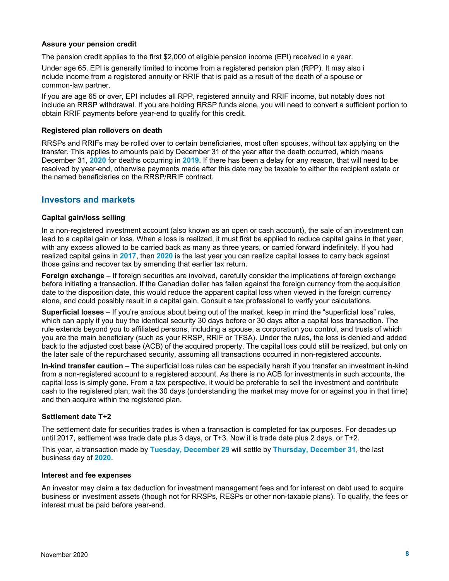## **Assure your pension credit**

The pension credit applies to the first \$2,000 of eligible pension income (EPI) received in a year.

Under age 65, EPI is generally limited to income from a registered pension plan (RPP). It may also i nclude income from a registered annuity or RRIF that is paid as a result of the death of a spouse or common-law partner.

If you are age 65 or over, EPI includes all RPP, registered annuity and RRIF income, but notably does not include an RRSP withdrawal. If you are holding RRSP funds alone, you will need to convert a sufficient portion to obtain RRIF payments before year-end to qualify for this credit.

#### **Registered plan rollovers on death**

RRSPs and RRIFs may be rolled over to certain beneficiaries, most often spouses, without tax applying on the transfer. This applies to amounts paid by December 31 of the year after the death occurred, which means December 31, **2020** for deaths occurring in **2019**. If there has been a delay for any reason, that will need to be resolved by year-end, otherwise payments made after this date may be taxable to either the recipient estate or the named beneficiaries on the RRSP/RRIF contract.

# <span id="page-7-0"></span>**Investors and markets**

#### **Capital gain/loss selling**

In a non-registered investment account (also known as an open or cash account), the sale of an investment can lead to a capital gain or loss. When a loss is realized, it must first be applied to reduce capital gains in that year, with any excess allowed to be carried back as many as three years, or carried forward indefinitely. If you had realized capital gains in **2017**, then **2020** is the last year you can realize capital losses to carry back against those gains and recover tax by amending that earlier tax return.

**Foreign exchange** – If foreign securities are involved, carefully consider the implications of foreign exchange before initiating a transaction. If the Canadian dollar has fallen against the foreign currency from the acquisition date to the disposition date, this would reduce the apparent capital loss when viewed in the foreign currency alone, and could possibly result in a capital gain. Consult a tax professional to verify your calculations.

**Superficial losses** – If you're anxious about being out of the market, keep in mind the "superficial loss" rules, which can apply if you buy the identical security 30 days before or 30 days after a capital loss transaction. The rule extends beyond you to affiliated persons, including a spouse, a corporation you control, and trusts of which you are the main beneficiary (such as your RRSP, RRIF or TFSA). Under the rules, the loss is denied and added back to the adjusted cost base (ACB) of the acquired property. The capital loss could still be realized, but only on the later sale of the repurchased security, assuming all transactions occurred in non-registered accounts.

**In-kind transfer caution** – The superficial loss rules can be especially harsh if you transfer an investment in-kind from a non-registered account to a registered account. As there is no ACB for investments in such accounts, the capital loss is simply gone. From a tax perspective, it would be preferable to sell the investment and contribute cash to the registered plan, wait the 30 days (understanding the market may move for or against you in that time) and then acquire within the registered plan.

#### **Settlement date T+2**

The settlement date for securities trades is when a transaction is completed for tax purposes. For decades up until 2017, settlement was trade date plus 3 days, or T+3. Now it is trade date plus 2 days, or T+2.

This year, a transaction made by **Tuesday, December 29** will settle by **Thursday, December 31**, the last business day of **2020**.

#### **Interest and fee expenses**

An investor may claim a tax deduction for investment management fees and for interest on debt used to acquire business or investment assets (though not for RRSPs, RESPs or other non-taxable plans). To qualify, the fees or interest must be paid before year-end.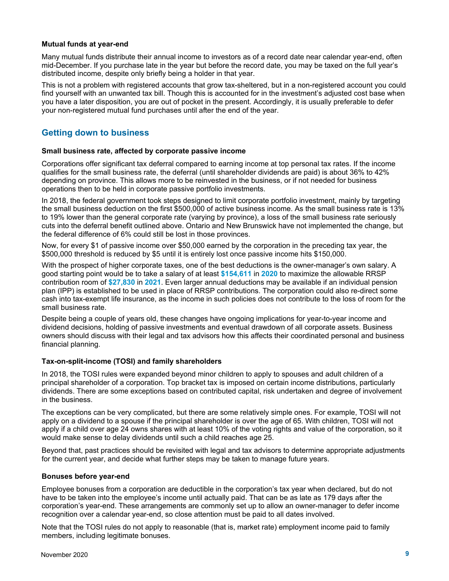#### **Mutual funds at year-end**

Many mutual funds distribute their annual income to investors as of a record date near calendar year-end, often mid-December. If you purchase late in the year but before the record date, you may be taxed on the full year's distributed income, despite only briefly being a holder in that year.

This is not a problem with registered accounts that grow tax-sheltered, but in a non-registered account you could find yourself with an unwanted tax bill. Though this is accounted for in the investment's adjusted cost base when you have a later disposition, you are out of pocket in the present. Accordingly, it is usually preferable to defer your non-registered mutual fund purchases until after the end of the year.

# <span id="page-8-0"></span>**Getting down to business**

## **Small business rate, affected by corporate passive income**

Corporations offer significant tax deferral compared to earning income at top personal tax rates. If the income qualifies for the small business rate, the deferral (until shareholder dividends are paid) is about 36% to 42% depending on province. This allows more to be reinvested in the business, or if not needed for business operations then to be held in corporate passive portfolio investments.

In 2018, the federal government took steps designed to limit corporate portfolio investment, mainly by targeting the small business deduction on the first \$500,000 of active business income. As the small business rate is 13% to 19% lower than the general corporate rate (varying by province), a loss of the small business rate seriously cuts into the deferral benefit outlined above. Ontario and New Brunswick have not implemented the change, but the federal difference of 6% could still be lost in those provinces.

Now, for every \$1 of passive income over \$50,000 earned by the corporation in the preceding tax year, the \$500,000 threshold is reduced by \$5 until it is entirely lost once passive income hits \$150,000.

With the prospect of higher corporate taxes, one of the best deductions is the owner-manager's own salary. A good starting point would be to take a salary of at least **\$154,611** in **2020** to maximize the allowable RRSP contribution room of **\$27,830** in **2021**. Even larger annual deductions may be available if an individual pension plan (IPP) is established to be used in place of RRSP contributions. The corporation could also re-direct some cash into tax-exempt life insurance, as the income in such policies does not contribute to the loss of room for the small business rate.

Despite being a couple of years old, these changes have ongoing implications for year-to-year income and dividend decisions, holding of passive investments and eventual drawdown of all corporate assets. Business owners should discuss with their legal and tax advisors how this affects their coordinated personal and business financial planning.

# **Tax-on-split-income (TOSI) and family shareholders**

In 2018, the TOSI rules were expanded beyond minor children to apply to spouses and adult children of a principal shareholder of a corporation. Top bracket tax is imposed on certain income distributions, particularly dividends. There are some exceptions based on contributed capital, risk undertaken and degree of involvement in the business.

The exceptions can be very complicated, but there are some relatively simple ones. For example, TOSI will not apply on a dividend to a spouse if the principal shareholder is over the age of 65. With children, TOSI will not apply if a child over age 24 owns shares with at least 10% of the voting rights and value of the corporation, so it would make sense to delay dividends until such a child reaches age 25.

Beyond that, past practices should be revisited with legal and tax advisors to determine appropriate adjustments for the current year, and decide what further steps may be taken to manage future years.

#### **Bonuses before year-end**

Employee bonuses from a corporation are deductible in the corporation's tax year when declared, but do not have to be taken into the employee's income until actually paid. That can be as late as 179 days after the corporation's year-end. These arrangements are commonly set up to allow an owner-manager to defer income recognition over a calendar year-end, so close attention must be paid to all dates involved.

Note that the TOSI rules do not apply to reasonable (that is, market rate) employment income paid to family members, including legitimate bonuses.